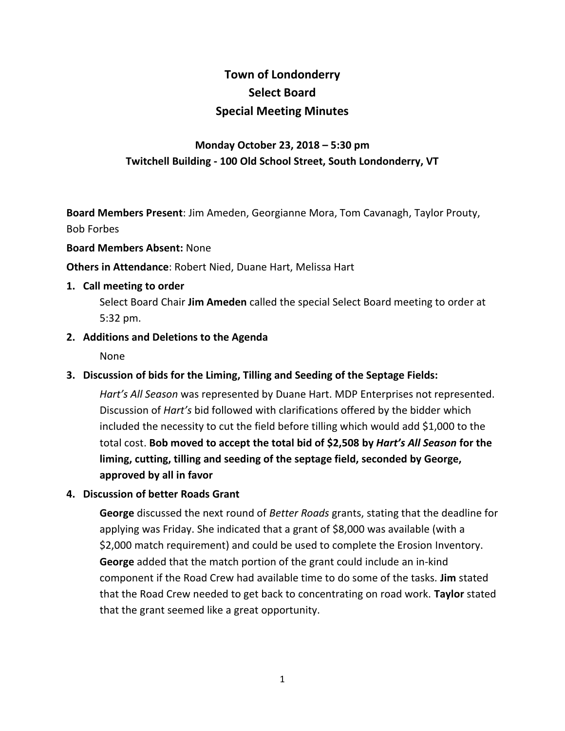# **Town of Londonderry Select Board Special Meeting Minutes**

# **Monday October 23, 2018 – 5:30 pm Twitchell Building - 100 Old School Street, South Londonderry, VT**

**Board Members Present**: Jim Ameden, Georgianne Mora, Tom Cavanagh, Taylor Prouty, Bob Forbes

#### **Board Members Absent:** None

**Others in Attendance**: Robert Nied, Duane Hart, Melissa Hart

#### **1. Call meeting to order**

Select Board Chair **Jim Ameden** called the special Select Board meeting to order at 5:32 pm.

# **2. Additions and Deletions to the Agenda**

None

# **3. Discussion of bids for the Liming, Tilling and Seeding of the Septage Fields:**

*Hart's All Season* was represented by Duane Hart. MDP Enterprises not represented. Discussion of *Hart's* bid followed with clarifications offered by the bidder which included the necessity to cut the field before tilling which would add \$1,000 to the total cost. **Bob moved to accept the total bid of \$2,508 by** *Hart's All Season* **for the liming, cutting, tilling and seeding of the septage field, seconded by George, approved by all in favor**

# **4. Discussion of better Roads Grant**

**George** discussed the next round of *Better Roads* grants, stating that the deadline for applying was Friday. She indicated that a grant of \$8,000 was available (with a \$2,000 match requirement) and could be used to complete the Erosion Inventory. **George** added that the match portion of the grant could include an in-kind component if the Road Crew had available time to do some of the tasks. **Jim** stated that the Road Crew needed to get back to concentrating on road work. **Taylor** stated that the grant seemed like a great opportunity.